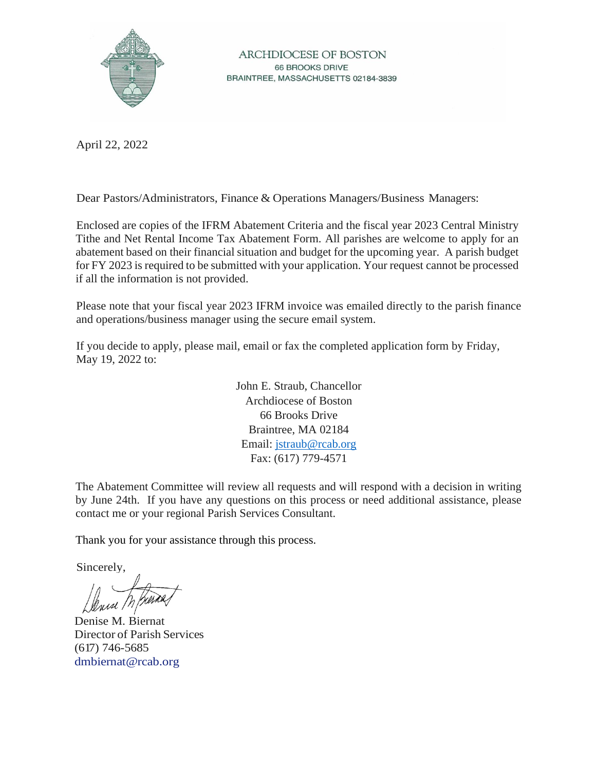

ARCHDIOCESE OF BOSTON 66 BROOKS DRIVE BRAINTREE, MASSACHUSETTS 02184-3839

April 22, 2022

Dear Pastors/Administrators, Finance & Operations Managers/Business Managers:

Enclosed are copies of the IFRM Abatement Criteria and the fiscal year 2023 Central Ministry Tithe and Net Rental Income Tax Abatement Form. All parishes are welcome to apply for an abatement based on their financial situation and budget for the upcoming year. A parish budget for FY 2023 is required to be submitted with your application. Your request cannot be processed if all the information is not provided.

Please note that your fiscal year 2023 IFRM invoice was emailed directly to the parish finance and operations/business manager using the secure email system.

If you decide to apply, please mail, email or fax the completed application form by Friday, May 19, 2022 to:

> John E. Straub, Chancellor Archdiocese of Boston 66 Brooks Drive Braintree, MA 02184 Email: [jstraub@rcab.org](mailto:jstraub@rcab.org)  Fax: (617) 779-4571

The Abatement Committee will review all requests and will respond with a decision in writing by June 24th. If you have any questions on this process or need additional assistance, please contact me or your regional Parish Services Consultant.

Thank you for your assistance through this process.

Sincerely,

Denise M. Biernat Director of Parish Services (617) 746-5685 [dmbiernat@rcab.org](mailto:dmbiernat@rcab.org)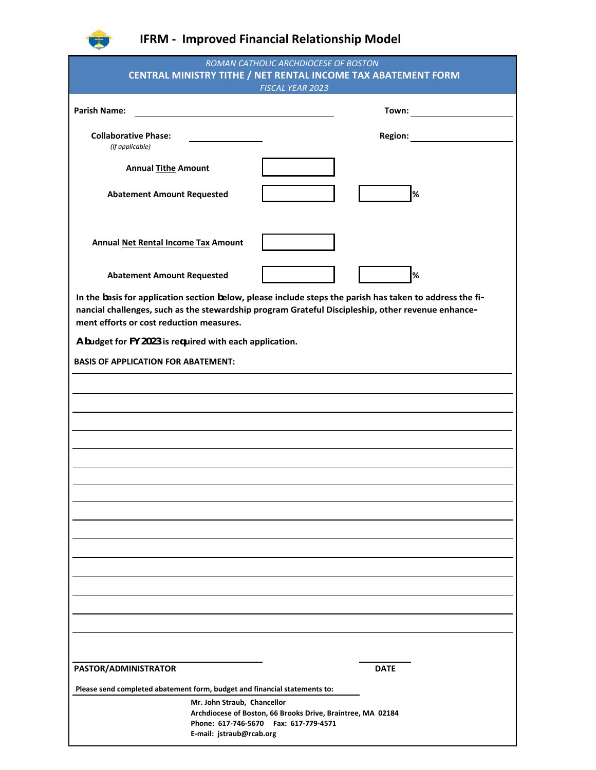

## **IFRM - Improved Financial Relationship Model**

| ROMAN CATHOLIC ARCHDIOCESE OF BOSTON<br>CENTRAL MINISTRY TITHE / NET RENTAL INCOME TAX ABATEMENT FORM<br>FISCAL YEAR 2023                                                                                                                                 |                                                                                                       |                |
|-----------------------------------------------------------------------------------------------------------------------------------------------------------------------------------------------------------------------------------------------------------|-------------------------------------------------------------------------------------------------------|----------------|
| <b>Parish Name:</b>                                                                                                                                                                                                                                       |                                                                                                       | Town:          |
| <b>Collaborative Phase:</b><br>(If applicable)                                                                                                                                                                                                            |                                                                                                       | <b>Region:</b> |
| <b>Annual Tithe Amount</b>                                                                                                                                                                                                                                |                                                                                                       |                |
| <b>Abatement Amount Requested</b>                                                                                                                                                                                                                         |                                                                                                       | %              |
| Annual Net Rental Income Tax Amount                                                                                                                                                                                                                       |                                                                                                       |                |
| <b>Abatement Amount Requested</b>                                                                                                                                                                                                                         |                                                                                                       | %              |
| In the basis for application section below, please include steps the parish has taken to address the fi-<br>nancial challenges, such as the stewardship program Grateful Discipleship, other revenue enhance-<br>ment efforts or cost reduction measures. |                                                                                                       |                |
| A budget for FY 2023 is required with each application.                                                                                                                                                                                                   |                                                                                                       |                |
| <b>BASIS OF APPLICATION FOR ABATEMENT:</b>                                                                                                                                                                                                                |                                                                                                       |                |
|                                                                                                                                                                                                                                                           |                                                                                                       |                |
|                                                                                                                                                                                                                                                           |                                                                                                       |                |
|                                                                                                                                                                                                                                                           |                                                                                                       |                |
|                                                                                                                                                                                                                                                           |                                                                                                       |                |
|                                                                                                                                                                                                                                                           |                                                                                                       |                |
|                                                                                                                                                                                                                                                           |                                                                                                       |                |
|                                                                                                                                                                                                                                                           |                                                                                                       |                |
|                                                                                                                                                                                                                                                           |                                                                                                       |                |
|                                                                                                                                                                                                                                                           |                                                                                                       |                |
|                                                                                                                                                                                                                                                           |                                                                                                       |                |
|                                                                                                                                                                                                                                                           |                                                                                                       |                |
|                                                                                                                                                                                                                                                           |                                                                                                       |                |
|                                                                                                                                                                                                                                                           |                                                                                                       |                |
| PASTOR/ADMINISTRATOR                                                                                                                                                                                                                                      |                                                                                                       | <b>DATE</b>    |
|                                                                                                                                                                                                                                                           |                                                                                                       |                |
| Please send completed abatement form, budget and financial statements to:<br>Mr. John Straub, Chancellor                                                                                                                                                  |                                                                                                       |                |
|                                                                                                                                                                                                                                                           | Archdiocese of Boston, 66 Brooks Drive, Braintree, MA 02184<br>Phone: 617-746-5670  Fax: 617-779-4571 |                |
| E-mail: jstraub@rcab.org                                                                                                                                                                                                                                  |                                                                                                       |                |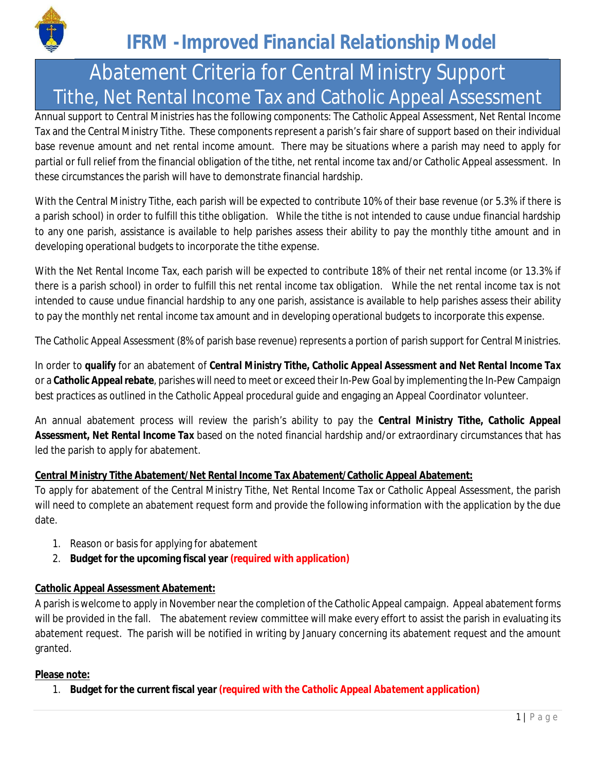

*IFRM -Improved Financial Relationship Model*

# Abatement Criteria for Central Ministry Support Tithe, Net Rental Income Tax and Catholic Appeal Assessment

Annual support to Central Ministries has the following components: The Catholic Appeal Assessment, Net Rental Income Tax and the Central Ministry Tithe. These components represent a parish's fair share of support based on their individual base revenue amount and net rental income amount. There may be situations where a parish may need to apply for partial or full relief from the financial obligation of the tithe, net rental income tax and/or Catholic Appeal assessment. In these circumstances the parish will have to demonstrate financial hardship.

With the Central Ministry Tithe, each parish will be expected to contribute 10% of their base revenue (or 5.3% if there is a parish school) in order to fulfill this tithe obligation. While the tithe is not intended to cause undue financial hardship to any one parish, assistance is available to help parishes assess their ability to pay the monthly tithe amount and in developing operational budgets to incorporate the tithe expense.

With the Net Rental Income Tax, each parish will be expected to contribute 18% of their net rental income (or 13.3% if there is a parish school) in order to fulfill this net rental income tax obligation. While the net rental income tax is not intended to cause undue financial hardship to any one parish, assistance is available to help parishes assess their ability to pay the monthly net rental income tax amount and in developing operational budgets to incorporate this expense.

The Catholic Appeal Assessment (8% of parish base revenue) represents a portion of parish support for Central Ministries.

In order to *qualify* for an abatement of *Central Ministry Tithe, Catholic Appeal Assessment and Net Rental Income Tax* or a **Catholic Appeal rebate**, parishes will need to meet or exceed their In-Pew Goal by implementing the In-Pew Campaign best practices as outlined in the Catholic Appeal procedural guide and engaging an Appeal Coordinator volunteer.

An annual abatement process will review the parish's ability to pay the *Central Ministry Tithe, Catholic Appeal Assessment, Net Rental Income Tax* based on the noted financial hardship and/or extraordinary circumstances that has led the parish to apply for abatement.

**Central Ministry Tithe Abatement/Net Rental Income Tax Abatement/Catholic Appeal Abatement:**

To apply for abatement of the Central Ministry Tithe, Net Rental Income Tax or Catholic Appeal Assessment, the parish will need to complete an abatement request form and provide the following information with the application by the due date.

- 1. Reason or basis for applying for abatement
- 2. **Budget for the upcoming fiscal year** *(required with application)*

### **Catholic Appeal Assessment Abatement:**

A parish is welcome to apply in November near the completion of the Catholic Appeal campaign. Appeal abatement forms will be provided in the fall. The abatement review committee will make every effort to assist the parish in evaluating its abatement request. The parish will be notified in writing by January concerning its abatement request and the amount granted.

### **Please note:**

1. **Budget for the current fiscal year** *(required with the Catholic Appeal Abatement application)*